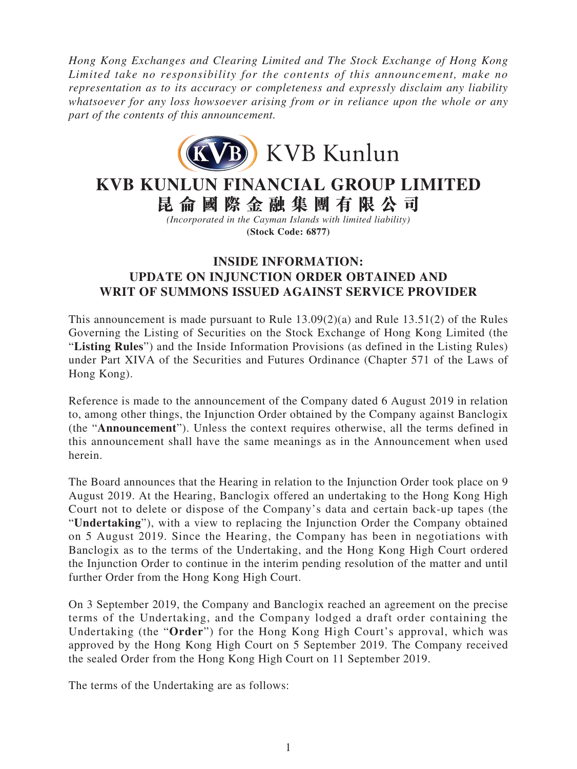*Hong Kong Exchanges and Clearing Limited and The Stock Exchange of Hong Kong Limited take no responsibility for the contents of this announcement, make no representation as to its accuracy or completeness and expressly disclaim any liability whatsoever for any loss howsoever arising from or in reliance upon the whole or any part of the contents of this announcement.*



## **KVB KUNLUN FINANCIAL GROUP LIMITED 昆侖國際金融集團有限公司**

*(Incorporated in the Cayman Islands with limited liability)* **(Stock Code: 6877)**

## **INSIDE INFORMATION: UPDATE ON INJUNCTION ORDER OBTAINED AND WRIT OF SUMMONS ISSUED AGAINST SERVICE PROVIDER**

This announcement is made pursuant to Rule  $13.09(2)(a)$  and Rule  $13.51(2)$  of the Rules Governing the Listing of Securities on the Stock Exchange of Hong Kong Limited (the "**Listing Rules**") and the Inside Information Provisions (as defined in the Listing Rules) under Part XIVA of the Securities and Futures Ordinance (Chapter 571 of the Laws of Hong Kong).

Reference is made to the announcement of the Company dated 6 August 2019 in relation to, among other things, the Injunction Order obtained by the Company against Banclogix (the "**Announcement**"). Unless the context requires otherwise, all the terms defined in this announcement shall have the same meanings as in the Announcement when used herein.

The Board announces that the Hearing in relation to the Injunction Order took place on 9 August 2019. At the Hearing, Banclogix offered an undertaking to the Hong Kong High Court not to delete or dispose of the Company's data and certain back-up tapes (the "**Undertaking**"), with a view to replacing the Injunction Order the Company obtained on 5 August 2019. Since the Hearing, the Company has been in negotiations with Banclogix as to the terms of the Undertaking, and the Hong Kong High Court ordered the Injunction Order to continue in the interim pending resolution of the matter and until further Order from the Hong Kong High Court.

On 3 September 2019, the Company and Banclogix reached an agreement on the precise terms of the Undertaking, and the Company lodged a draft order containing the Undertaking (the "**Order**") for the Hong Kong High Court's approval, which was approved by the Hong Kong High Court on 5 September 2019. The Company received the sealed Order from the Hong Kong High Court on 11 September 2019.

The terms of the Undertaking are as follows: